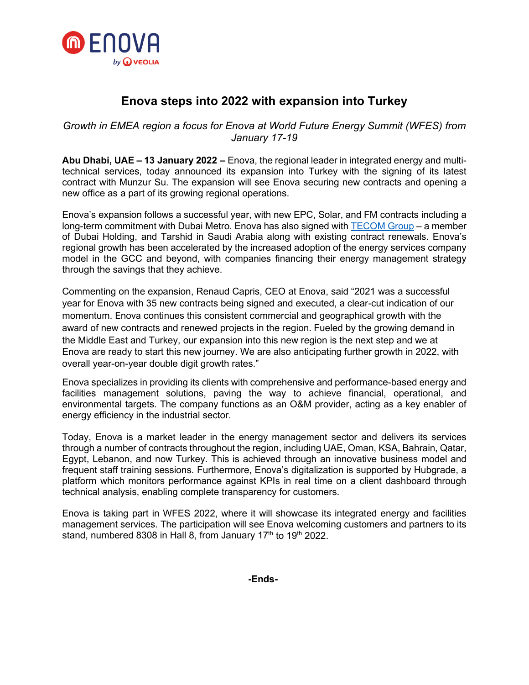

# **Enova steps into 2022 with expansion into Turkey**

## *Growth in EMEA region a focus for Enova at World Future Energy Summit (WFES) from January 17-19*

**Abu Dhabi, UAE – 13 January 2022 –** Enova, the regional leader in integrated energy and multitechnical services, today announced its expansion into Turkey with the signing of its latest contract with Munzur Su. The expansion will see Enova securing new contracts and opening a new office as a part of its growing regional operations.

Enova's expansion follows a successful year, with new EPC, Solar, and FM contracts including a long-term commitment with Dubai Metro. Enova has also signed with [TECOM Group](https://www.enova-me.com/news/dubai-international-academic-city-dubai-outsource-city-complete-solar-pv-carports-partnership) – a member of Dubai Holding, and Tarshid in Saudi Arabia along with existing contract renewals. Enova's regional growth has been accelerated by the increased adoption of the energy services company model in the GCC and beyond, with companies financing their energy management strategy through the savings that they achieve.

Commenting on the expansion, Renaud Capris, CEO at Enova, said "2021 was a successful year for Enova with 35 new contracts being signed and executed, a clear-cut indication of our momentum. Enova continues this consistent commercial and geographical growth with the award of new contracts and renewed projects in the region. Fueled by the growing demand in the Middle East and Turkey, our expansion into this new region is the next step and we at Enova are ready to start this new journey. We are also anticipating further growth in 2022, with overall year-on-year double digit growth rates."

Enova specializes in providing its clients with comprehensive and performance-based energy and facilities management solutions, paving the way to achieve financial, operational, and environmental targets. The company functions as an O&M provider, acting as a key enabler of energy efficiency in the industrial sector.

Today, Enova is a market leader in the energy management sector and delivers its services through a number of contracts throughout the region, including UAE, Oman, KSA, Bahrain, Qatar, Egypt, Lebanon, and now Turkey. This is achieved through an innovative business model and frequent staff training sessions. Furthermore, Enova's digitalization is supported by Hubgrade, a platform which monitors performance against KPIs in real time on a client dashboard through technical analysis, enabling complete transparency for customers.

Enova is taking part in WFES 2022, where it will showcase its integrated energy and facilities management services. The participation will see Enova welcoming customers and partners to its stand, numbered 8308 in Hall 8, from January 17<sup>th</sup> to 19<sup>th</sup> 2022.

**-Ends-**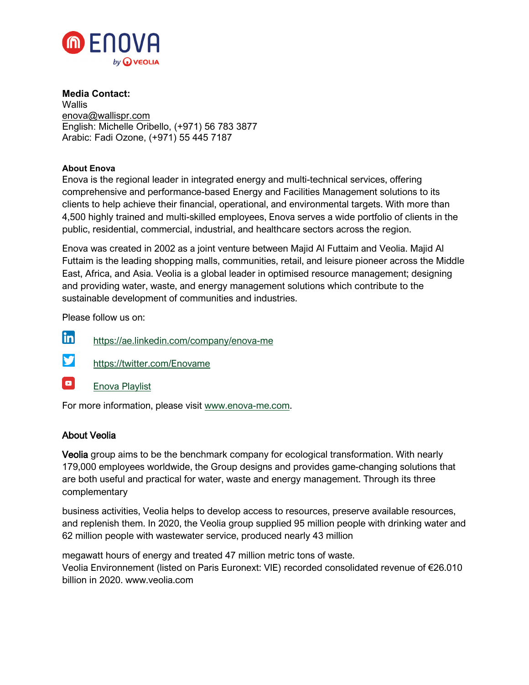

**Media Contact: Wallis** [enova@wallispr.com](mailto:enova@wallispr.com) English: Michelle Oribello, (+971) 56 783 3877 Arabic: Fadi Ozone, (+971) 55 445 7187

### **About Enova**

Enova is the regional leader in integrated energy and multi-technical services, offering comprehensive and performance-based Energy and Facilities Management solutions to its clients to help achieve their financial, operational, and environmental targets. With more than 4,500 highly trained and multi-skilled employees, Enova serves a wide portfolio of clients in the public, residential, commercial, industrial, and healthcare sectors across the region.

Enova was created in 2002 as a joint venture between Majid Al Futtaim and Veolia. Majid Al Futtaim is the leading shopping malls, communities, retail, and leisure pioneer across the Middle East, Africa, and Asia. Veolia is a global leader in optimised resource management; designing and providing water, waste, and energy management solutions which contribute to the sustainable development of communities and industries.

Please follow us on:

- in https://ae.linkedin.com/company/enova-me
- y <https://twitter.com/Enovame>
- $\boxed{\bullet}$ [Enova Playlist](https://www.youtube.com/playlist?list=PL3e2aW_fekTQ3CE8tDe9a26p6BeP7gq1q)

For more information, please visit [www.enova-me.com.](http://www.enova-me.com/)

#### About Veolia

Veolia group aims to be the benchmark company for ecological transformation. With nearly 179,000 employees worldwide, the Group designs and provides game-changing solutions that are both useful and practical for water, waste and energy management. Through its three complementary

business activities, Veolia helps to develop access to resources, preserve available resources, and replenish them. In 2020, the Veolia group supplied 95 million people with drinking water and 62 million people with wastewater service, produced nearly 43 million

megawatt hours of energy and treated 47 million metric tons of waste. Veolia Environnement (listed on Paris Euronext: VIE) recorded consolidated revenue of €26.010 billion in 2020. www.veolia.com